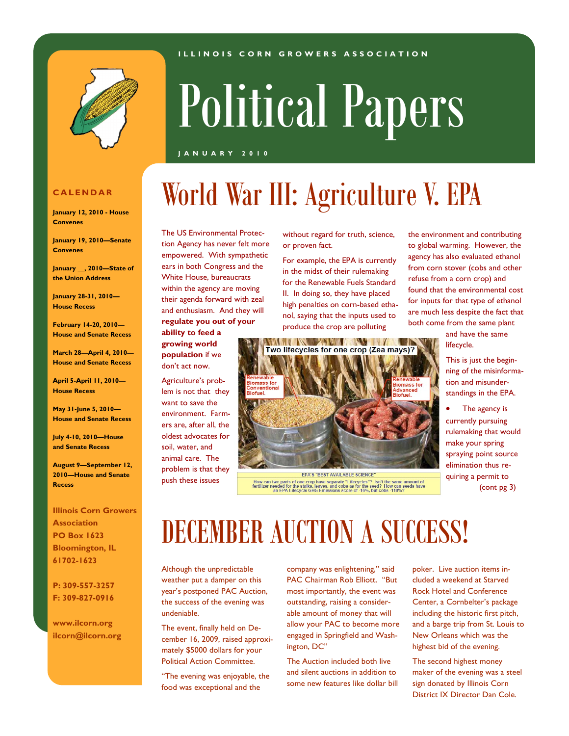#### **I L L I N O I S C O R N G R O W E R S A S S O C I A T I O N**



# Political Papers

World War III: Agriculture V. EPA

#### **J A N U A R Y 2 0 1 0**

### **C A L E N D A R**

**January 12, 2010 - House Convenes**

**January 19, 2010—Senate Convenes**

**January \_\_, 2010—State of the Union Address**

**January 28-31, 2010— House Recess**

**February 14-20, 2010— House and Senate Recess**

**March 28—April 4, 2010— House and Senate Recess**

**April 5-April 11, 2010— House Recess**

**May 31-June 5, 2010— House and Senate Recess**

**July 4-10, 2010—House and Senate Recess**

**August 9—September 12, 2010—House and Senate Recess**

**Illinois Corn Growers Association PO Box 1623 Bloomington, IL 61702-1623**

**P: 309-557-3257 F: 309-827-0916**

**www.ilcorn.org ilcorn@ilcorn.org** The US Environmental Protection Agency has never felt more empowered. With sympathetic ears in both Congress and the White House, bureaucrats within the agency are moving their agenda forward with zeal and enthusiasm. And they will **regulate you out of your ability to feed a growing world** 

**population** if we don't act now.

Agriculture's problem is not that they want to save the environment. Farmers are, after all, the oldest advocates for soil, water, and animal care. The problem is that they push these issues

without regard for truth, science, or proven fact.

For example, the EPA is currently in the midst of their rulemaking for the Renewable Fuels Standard II. In doing so, they have placed high penalties on corn-based ethanol, saying that the inputs used to produce the crop are polluting



How can two parts of one crop have separate "Lifecycles"? Isn't the same amount of<br>fertilizer needed for the stalks, leaves, and cobs as for the seed? How can seeds have<br>an EPA Lifecycle GHG Emissions score of -16%, but co

the environment and contributing to global warming. However, the agency has also evaluated ethanol from corn stover (cobs and other refuse from a corn crop) and found that the environmental cost for inputs for that type of ethanol are much less despite the fact that both come from the same plant

> and have the same lifecycle.

This is just the beginning of the misinformation and misunderstandings in the EPA.

 The agency is currently pursuing rulemaking that would make your spring spraying point source elimination thus requiring a permit to (cont pg 3)

DECEMBER AUCTION A SUCCESS!

Although the unpredictable weather put a damper on this year's postponed PAC Auction, the success of the evening was undeniable.

The event, finally held on December 16, 2009, raised approximately \$5000 dollars for your Political Action Committee.

"The evening was enjoyable, the food was exceptional and the

company was enlightening," said PAC Chairman Rob Elliott. "But most importantly, the event was outstanding, raising a considerable amount of money that will allow your PAC to become more engaged in Springfield and Washington, DC"

The Auction included both live and silent auctions in addition to some new features like dollar bill

poker. Live auction items included a weekend at Starved Rock Hotel and Conference Center, a Cornbelter's package including the historic first pitch, and a barge trip from St. Louis to New Orleans which was the highest bid of the evening.

The second highest money maker of the evening was a steel sign donated by Illinois Corn District IX Director Dan Cole.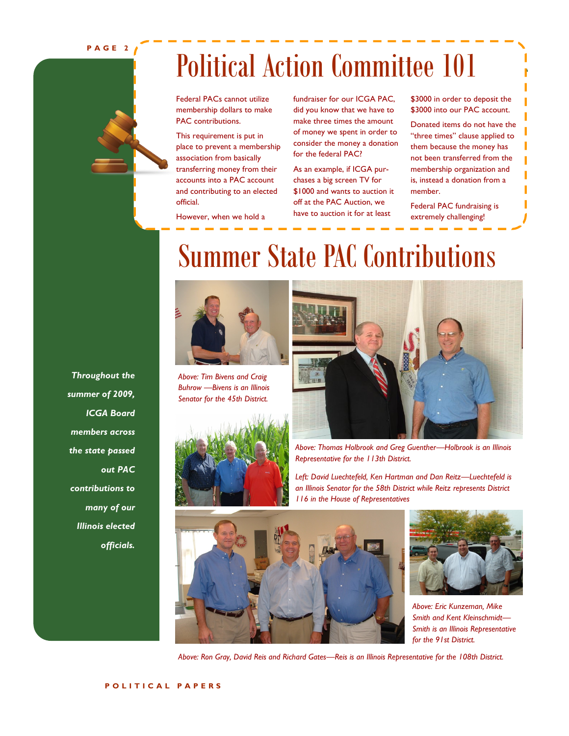**P A G E 2**

### Political Action Committee 101

Federal PACs cannot utilize membership dollars to make PAC contributions.

This requirement is put in place to prevent a membership association from basically transferring money from their accounts into a PAC account and contributing to an elected official.

However, when we hold a

fundraiser for our ICGA PAC, did you know that we have to make three times the amount of money we spent in order to consider the money a donation for the federal PAC?

As an example, if ICGA purchases a big screen TV for \$1000 and wants to auction it off at the PAC Auction, we have to auction it for at least

\$3000 in order to deposit the \$3000 into our PAC account.

Donated items do not have the "three times" clause applied to them because the money has not been transferred from the membership organization and is, instead a donation from a member.

Federal PAC fundraising is extremely challenging!

### Summer State PAC Contributions



*Above: Tim Bivens and Craig Buhrow —Bivens is an Illinois Senator for the 45th District.*





*Above: Thomas Holbrook and Greg Guenther—Holbrook is an Illinois Representative for the 113th District.*

*Left: David Luechtefeld, Ken Hartman and Dan Reitz—Luechtefeld is an Illinois Senator for the 58th District while Reitz represents District 116 in the House of Representatives*





*Above: Eric Kunzeman, Mike Smith and Kent Kleinschmidt— Smith is an Illinois Representative for the 91st District.*

*Above: Ron Gray, David Reis and Richard Gates—Reis is an Illinois Representative for the 108th District.*

*Throughout the summer of 2009, ICGA Board members across the state passed out PAC contributions to many of our Illinois elected officials.*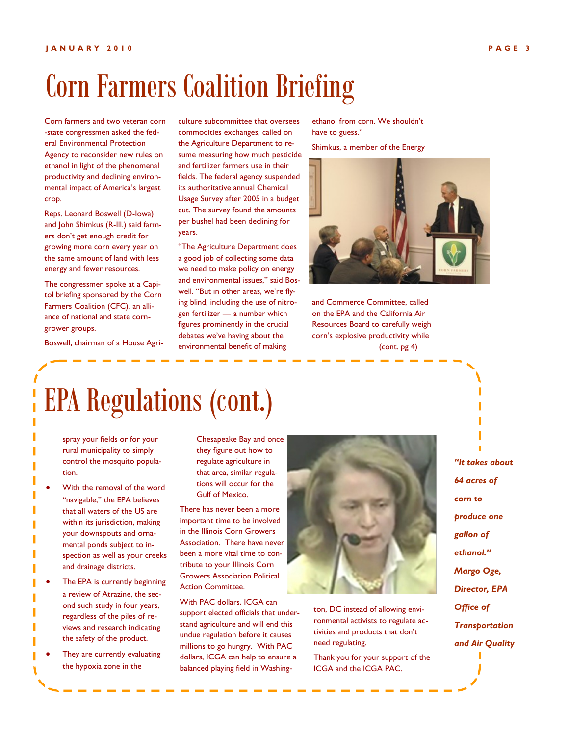## Corn Farmers Coalition Briefing

Corn farmers and two veteran corn -state congressmen asked the federal Environmental Protection Agency to reconsider new rules on ethanol in light of the phenomenal productivity and declining environmental impact of America's largest crop.

Reps. Leonard Boswell (D-Iowa) and John Shimkus (R-Ill.) said farmers don't get enough credit for growing more corn every year on the same amount of land with less energy and fewer resources.

The congressmen spoke at a Capitol briefing sponsored by the Corn Farmers Coalition (CFC), an alliance of national and state corngrower groups.

Boswell, chairman of a House Agri-

culture subcommittee that oversees commodities exchanges, called on the Agriculture Department to resume measuring how much pesticide and fertilizer farmers use in their fields. The federal agency suspended its authoritative annual Chemical Usage Survey after 2005 in a budget cut. The survey found the amounts per bushel had been declining for years.

"The Agriculture Department does a good job of collecting some data we need to make policy on energy and environmental issues," said Boswell. "But in other areas, we're flying blind, including the use of nitrogen fertilizer — a number which figures prominently in the crucial debates we've having about the environmental benefit of making

ethanol from corn. We shouldn't have to guess."

Shimkus, a member of the Energy



and Commerce Committee, called on the EPA and the California Air Resources Board to carefully weigh corn's explosive productivity while (cont. pg 4)

EPA Regulations (cont.)

spray your fields or for your rural municipality to simply control the mosquito population.

- With the removal of the word "navigable," the EPA believes that all waters of the US are within its jurisdiction, making your downspouts and ornamental ponds subject to inspection as well as your creeks and drainage districts.
- The EPA is currently beginning a review of Atrazine, the second such study in four years, regardless of the piles of reviews and research indicating the safety of the product.
- They are currently evaluating the hypoxia zone in the

Chesapeake Bay and once they figure out how to regulate agriculture in that area, similar regulations will occur for the Gulf of Mexico.

There has never been a more important time to be involved in the Illinois Corn Growers Association. There have never been a more vital time to contribute to your Illinois Corn Growers Association Political Action Committee.

With PAC dollars, ICGA can support elected officials that understand agriculture and will end this undue regulation before it causes millions to go hungry. With PAC dollars, ICGA can help to ensure a balanced playing field in Washing-



ton, DC instead of allowing environmental activists to regulate activities and products that don't need regulating.

Thank you for your support of the ICGA and the ICGA PAC.

*"It takes about 64 acres of corn to produce one gallon of ethanol." Margo Oge, Director, EPA Office of Transportation and Air Quality*